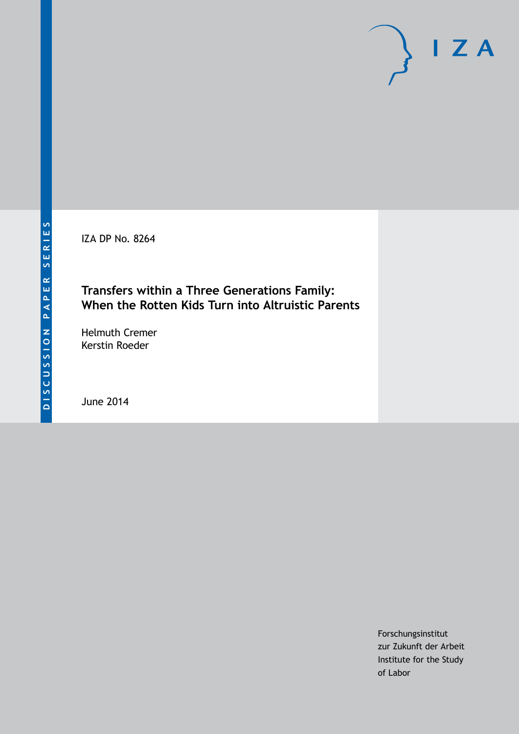IZA DP No. 8264

# **Transfers within a Three Generations Family: When the Rotten Kids Turn into Altruistic Parents**

Helmuth Cremer Kerstin Roeder

June 2014

Forschungsinstitut zur Zukunft der Arbeit Institute for the Study of Labor

 $I Z A$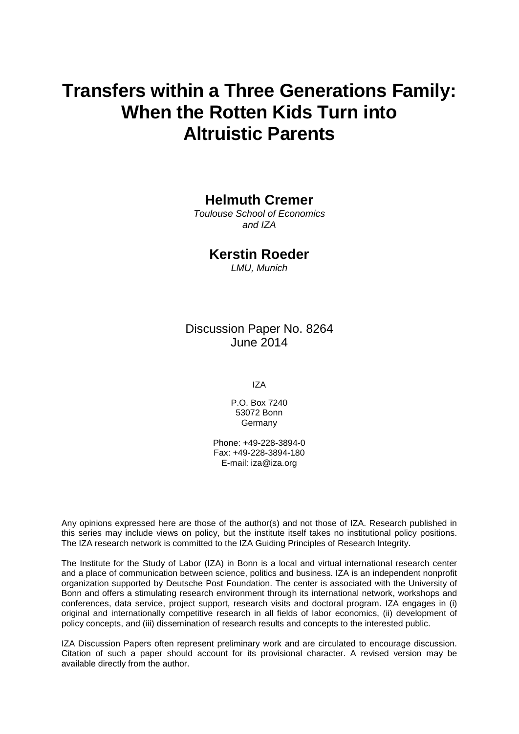# **Transfers within a Three Generations Family: When the Rotten Kids Turn into Altruistic Parents**

## **Helmuth Cremer**

*Toulouse School of Economics and IZA*

### **Kerstin Roeder**

*LMU, Munich*

# Discussion Paper No. 8264 June 2014

IZA

P.O. Box 7240 53072 Bonn Germany

Phone: +49-228-3894-0 Fax: +49-228-3894-180 E-mail: [iza@iza.org](mailto:iza@iza.org)

Any opinions expressed here are those of the author(s) and not those of IZA. Research published in this series may include views on policy, but the institute itself takes no institutional policy positions. The IZA research network is committed to the IZA Guiding Principles of Research Integrity.

The Institute for the Study of Labor (IZA) in Bonn is a local and virtual international research center and a place of communication between science, politics and business. IZA is an independent nonprofit organization supported by Deutsche Post Foundation. The center is associated with the University of Bonn and offers a stimulating research environment through its international network, workshops and conferences, data service, project support, research visits and doctoral program. IZA engages in (i) original and internationally competitive research in all fields of labor economics, (ii) development of policy concepts, and (iii) dissemination of research results and concepts to the interested public.

IZA Discussion Papers often represent preliminary work and are circulated to encourage discussion. Citation of such a paper should account for its provisional character. A revised version may be available directly from the author.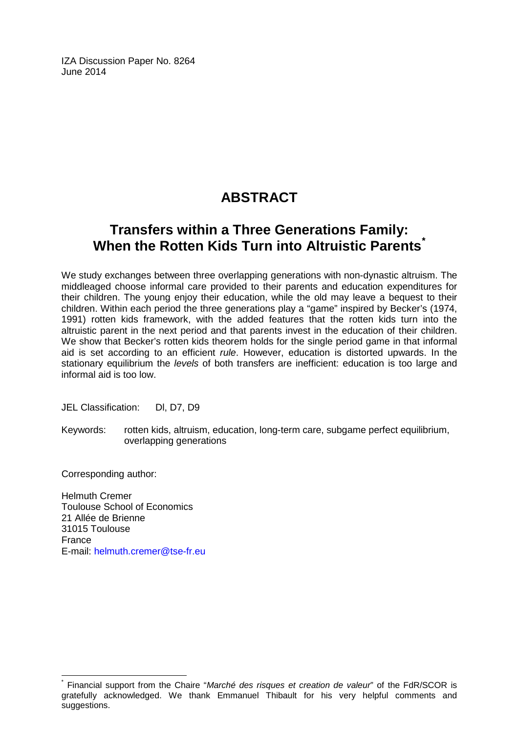IZA Discussion Paper No. 8264 June 2014

# **ABSTRACT**

# **Transfers within a Three Generations Family: When the Rotten Kids Turn into Altruistic Parents[\\*](#page-2-0)**

We study exchanges between three overlapping generations with non-dynastic altruism. The middleaged choose informal care provided to their parents and education expenditures for their children. The young enjoy their education, while the old may leave a bequest to their children. Within each period the three generations play a "game" inspired by Becker's (1974, 1991) rotten kids framework, with the added features that the rotten kids turn into the altruistic parent in the next period and that parents invest in the education of their children. We show that Becker's rotten kids theorem holds for the single period game in that informal aid is set according to an efficient *rule*. However, education is distorted upwards. In the stationary equilibrium the *levels* of both transfers are inefficient: education is too large and informal aid is too low.

JEL Classification: DI, D7, D9

Keywords: rotten kids, altruism, education, long-term care, subgame perfect equilibrium, overlapping generations

Corresponding author:

Helmuth Cremer Toulouse School of Economics 21 Allée de Brienne 31015 Toulouse France E-mail: [helmuth.cremer@tse-fr.eu](mailto:helmuth.cremer@tse-fr.eu)

<span id="page-2-0"></span>\* Financial support from the Chaire "*Marché des risques et creation de valeur*" of the FdR/SCOR is gratefully acknowledged. We thank Emmanuel Thibault for his very helpful comments and suggestions.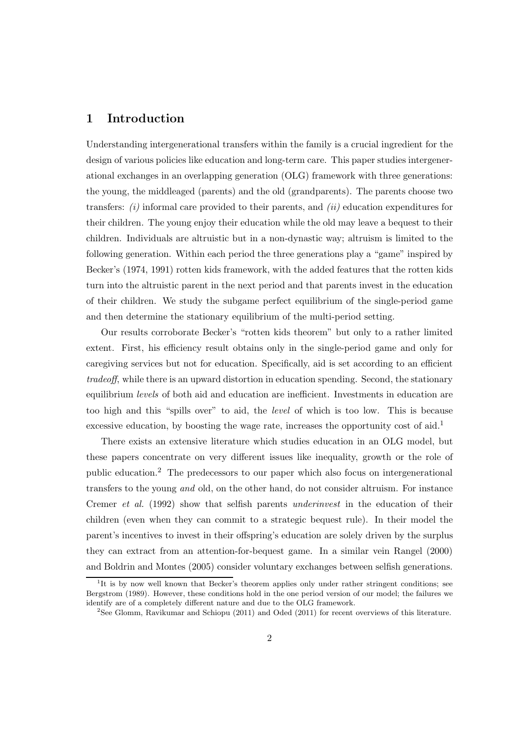### 1 Introduction

Understanding intergenerational transfers within the family is a crucial ingredient for the design of various policies like education and long-term care. This paper studies intergenerational exchanges in an overlapping generation (OLG) framework with three generations: the young, the middleaged (parents) and the old (grandparents). The parents choose two transfers:  $(i)$  informal care provided to their parents, and  $(ii)$  education expenditures for their children. The young enjoy their education while the old may leave a bequest to their children. Individuals are altruistic but in a non-dynastic way; altruism is limited to the following generation. Within each period the three generations play a "game" inspired by Becker's (1974, 1991) rotten kids framework, with the added features that the rotten kids turn into the altruistic parent in the next period and that parents invest in the education of their children. We study the subgame perfect equilibrium of the single-period game and then determine the stationary equilibrium of the multi-period setting.

Our results corroborate Becker's "rotten kids theorem" but only to a rather limited extent. First, his efficiency result obtains only in the single-period game and only for caregiving services but not for education. Specifically, aid is set according to an efficient tradeoff, while there is an upward distortion in education spending. Second, the stationary equilibrium levels of both aid and education are inefficient. Investments in education are too high and this "spills over" to aid, the level of which is too low. This is because excessive education, by boosting the wage rate, increases the opportunity cost of  $\text{aid}^1$ 

There exists an extensive literature which studies education in an OLG model, but these papers concentrate on very different issues like inequality, growth or the role of public education.<sup>2</sup> The predecessors to our paper which also focus on intergenerational transfers to the young and old, on the other hand, do not consider altruism. For instance Cremer et al. (1992) show that selfish parents underinvest in the education of their children (even when they can commit to a strategic bequest rule). In their model the parent's incentives to invest in their offspring's education are solely driven by the surplus they can extract from an attention-for-bequest game. In a similar vein Rangel (2000) and Boldrin and Montes (2005) consider voluntary exchanges between selfish generations.

<sup>&</sup>lt;sup>1</sup>It is by now well known that Becker's theorem applies only under rather stringent conditions; see Bergstrom (1989). However, these conditions hold in the one period version of our model; the failures we identify are of a completely different nature and due to the OLG framework.

 $2$ See Glomm, Ravikumar and Schiopu (2011) and Oded (2011) for recent overviews of this literature.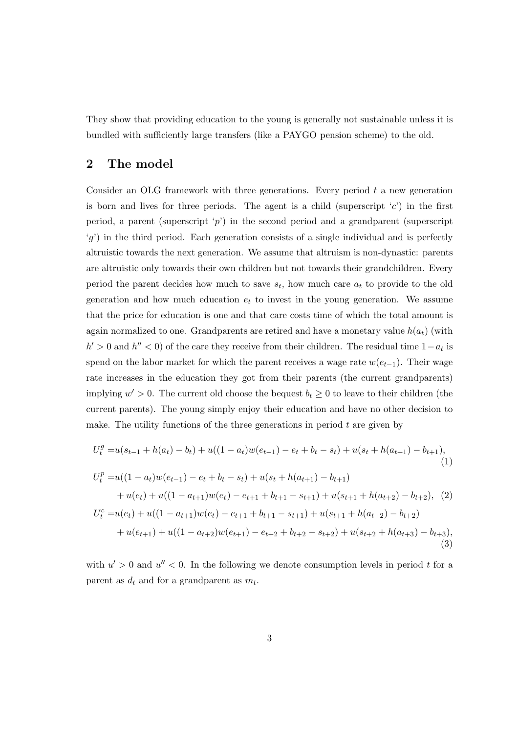They show that providing education to the young is generally not sustainable unless it is bundled with sufficiently large transfers (like a PAYGO pension scheme) to the old.

#### 2 The model

Consider an OLG framework with three generations. Every period  $t$  a new generation is born and lives for three periods. The agent is a child (superscript  $(c')$ ) in the first period, a parent (superscript 'p') in the second period and a grandparent (superscript  $(g')$  in the third period. Each generation consists of a single individual and is perfectly altruistic towards the next generation. We assume that altruism is non-dynastic: parents are altruistic only towards their own children but not towards their grandchildren. Every period the parent decides how much to save  $s_t$ , how much care  $a_t$  to provide to the old generation and how much education  $e_t$  to invest in the young generation. We assume that the price for education is one and that care costs time of which the total amount is again normalized to one. Grandparents are retired and have a monetary value  $h(a_t)$  (with  $h' > 0$  and  $h'' < 0$ ) of the care they receive from their children. The residual time  $1 - a_t$  is spend on the labor market for which the parent receives a wage rate  $w(e_{t-1})$ . Their wage rate increases in the education they got from their parents (the current grandparents) implying  $w' > 0$ . The current old choose the bequest  $b_t \geq 0$  to leave to their children (the current parents). The young simply enjoy their education and have no other decision to make. The utility functions of the three generations in period  $t$  are given by

$$
U_t^g = u(s_{t-1} + h(a_t) - b_t) + u((1 - a_t)w(e_{t-1}) - e_t + b_t - s_t) + u(s_t + h(a_{t+1}) - b_{t+1}),
$$
  
\n(1)  
\n
$$
U_t^p = u((1 - a_t)w(e_{t-1}) - e_t + b_t - s_t) + u(s_t + h(a_{t+1}) - b_{t+1})
$$
  
\n
$$
+ u(e_t) + u((1 - a_{t+1})w(e_t) - e_{t+1} + b_{t+1} - s_{t+1}) + u(s_{t+1} + h(a_{t+2}) - b_{t+2}),
$$
  
\n(2)  
\n
$$
U_t^c = u(e_t) + u((1 - a_{t+1})w(e_t) - e_{t+1} + b_{t+1} - s_{t+1}) + u(s_{t+1} + h(a_{t+2}) - b_{t+2})
$$
  
\n
$$
+ u(e_{t+1}) + u((1 - a_{t+2})w(e_{t+1}) - e_{t+2} + b_{t+2} - s_{t+2}) + u(s_{t+2} + h(a_{t+3}) - b_{t+3}),
$$
  
\n(3)

with  $u' > 0$  and  $u'' < 0$ . In the following we denote consumption levels in period t for a parent as  $d_t$  and for a grandparent as  $m_t$ .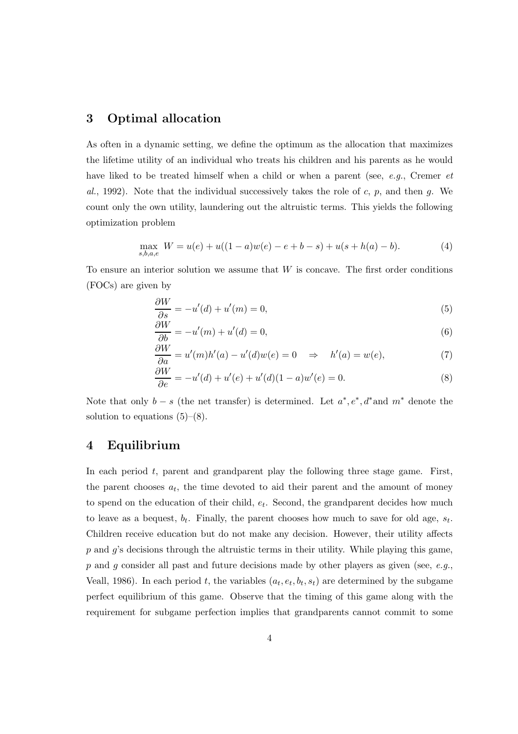#### 3 Optimal allocation

As often in a dynamic setting, we define the optimum as the allocation that maximizes the lifetime utility of an individual who treats his children and his parents as he would have liked to be treated himself when a child or when a parent (see, e.g., Cremer et al., 1992). Note that the individual successively takes the role of c, p, and then q. We count only the own utility, laundering out the altruistic terms. This yields the following optimization problem

$$
\max_{s,b,a,e} W = u(e) + u((1-a)w(e) - e + b - s) + u(s + h(a) - b).
$$
 (4)

To ensure an interior solution we assume that  $W$  is concave. The first order conditions (FOCs) are given by

$$
\frac{\partial W}{\partial s} = -u'(d) + u'(m) = 0,\t\t(5)
$$

$$
\frac{\partial W}{\partial b} = -u'(m) + u'(d) = 0,\t\t(6)
$$

$$
\frac{\partial W}{\partial a} = u'(m)h'(a) - u'(d)w(e) = 0 \quad \Rightarrow \quad h'(a) = w(e), \tag{7}
$$

$$
\frac{\partial W}{\partial e} = -u'(d) + u'(e) + u'(d)(1 - a)w'(e) = 0.
$$
\n(8)

Note that only  $b - s$  (the net transfer) is determined. Let  $a^*, e^*, d^*$  and  $m^*$  denote the solution to equations  $(5)-(8)$ .

#### 4 Equilibrium

In each period  $t$ , parent and grandparent play the following three stage game. First, the parent chooses  $a_t$ , the time devoted to aid their parent and the amount of money to spend on the education of their child,  $e_t$ . Second, the grandparent decides how much to leave as a bequest,  $b_t$ . Finally, the parent chooses how much to save for old age,  $s_t$ . Children receive education but do not make any decision. However, their utility affects  $p$  and  $q$ 's decisions through the altruistic terms in their utility. While playing this game,  $p$  and  $g$  consider all past and future decisions made by other players as given (see,  $e.g.,$ Veall, 1986). In each period t, the variables  $(a_t, e_t, b_t, s_t)$  are determined by the subgame perfect equilibrium of this game. Observe that the timing of this game along with the requirement for subgame perfection implies that grandparents cannot commit to some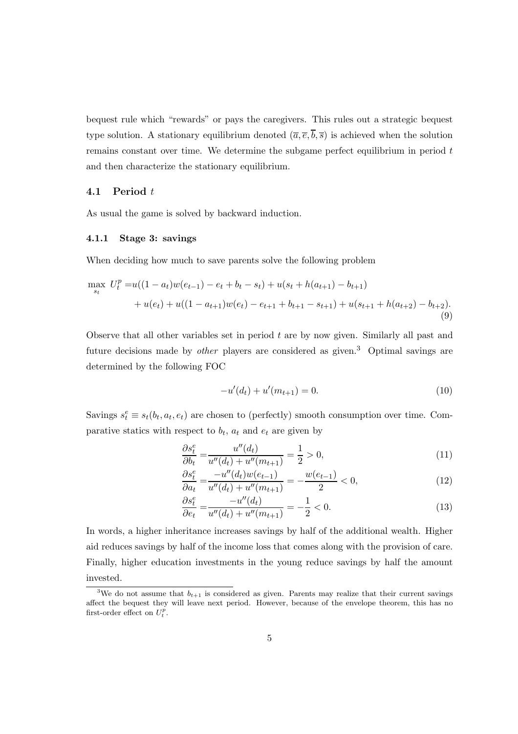bequest rule which "rewards" or pays the caregivers. This rules out a strategic bequest type solution. A stationary equilibrium denoted  $(\overline{a}, \overline{e}, \overline{b}, \overline{s})$  is achieved when the solution remains constant over time. We determine the subgame perfect equilibrium in period  $t$ and then characterize the stationary equilibrium.

#### 4.1 Period t

As usual the game is solved by backward induction.

#### 4.1.1 Stage 3: savings

When deciding how much to save parents solve the following problem

$$
\max_{s_t} U_t^p = u((1 - a_t)w(e_{t-1}) - e_t + b_t - s_t) + u(s_t + h(a_{t+1}) - b_{t+1})
$$
  
+ 
$$
u(e_t) + u((1 - a_{t+1})w(e_t) - e_{t+1} + b_{t+1} - s_{t+1}) + u(s_{t+1} + h(a_{t+2}) - b_{t+2}).
$$
\n(9)

Observe that all other variables set in period  $t$  are by now given. Similarly all past and future decisions made by *other* players are considered as given.<sup>3</sup> Optimal savings are determined by the following FOC

$$
-u'(d_t) + u'(m_{t+1}) = 0.
$$
\n(10)

Savings  $s_t^e \equiv s_t(b_t, a_t, e_t)$  are chosen to (perfectly) smooth consumption over time. Comparative statics with respect to  $b_t$ ,  $a_t$  and  $e_t$  are given by

$$
\frac{\partial s_t^e}{\partial b_t} = \frac{u''(d_t)}{u''(d_t) + u''(m_{t+1})} = \frac{1}{2} > 0,\tag{11}
$$

$$
\frac{\partial s_t^e}{\partial a_t} = \frac{-u''(d_t)w(e_{t-1})}{u''(d_t) + u''(m_{t+1})} = -\frac{w(e_{t-1})}{2} < 0,\tag{12}
$$

$$
\frac{\partial s_t^e}{\partial e_t} = \frac{-u''(d_t)}{u''(d_t) + u''(m_{t+1})} = -\frac{1}{2} < 0. \tag{13}
$$

In words, a higher inheritance increases savings by half of the additional wealth. Higher aid reduces savings by half of the income loss that comes along with the provision of care. Finally, higher education investments in the young reduce savings by half the amount invested.

<sup>&</sup>lt;sup>3</sup>We do not assume that  $b_{t+1}$  is considered as given. Parents may realize that their current savings affect the bequest they will leave next period. However, because of the envelope theorem, this has no first-order effect on  $U_t^p$ .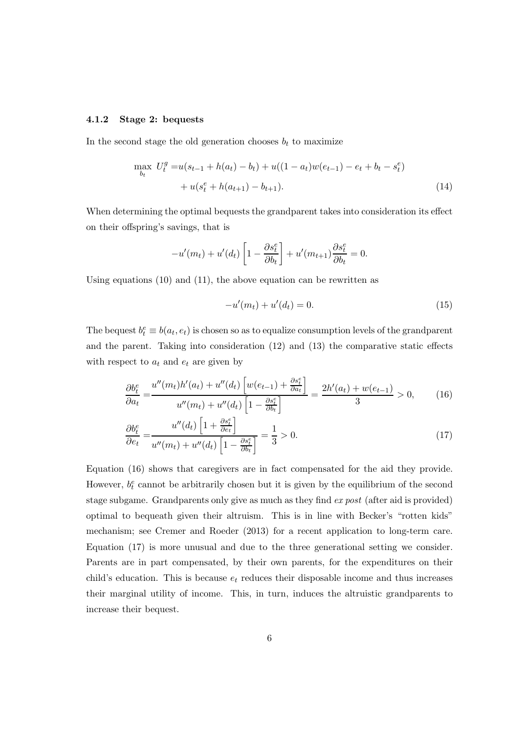#### 4.1.2 Stage 2: bequests

In the second stage the old generation chooses  $b_t$  to maximize

$$
\max_{b_t} U_t^g = u(s_{t-1} + h(a_t) - b_t) + u((1 - a_t)w(e_{t-1}) - e_t + b_t - s_t^e)
$$
  
+ 
$$
u(s_t^e + h(a_{t+1}) - b_{t+1}).
$$
 (14)

When determining the optimal bequests the grandparent takes into consideration its effect on their offspring's savings, that is

$$
-u'(m_t) + u'(d_t)\left[1 - \frac{\partial s_t^e}{\partial b_t}\right] + u'(m_{t+1})\frac{\partial s_t^e}{\partial b_t} = 0.
$$

Using equations (10) and (11), the above equation can be rewritten as

$$
-u'(m_t) + u'(d_t) = 0.
$$
\n(15)

The bequest  $b_t^e \equiv b(a_t, e_t)$  is chosen so as to equalize consumption levels of the grandparent and the parent. Taking into consideration (12) and (13) the comparative static effects with respect to  $a_t$  and  $e_t$  are given by

$$
\frac{\partial b_t^e}{\partial a_t} = \frac{u''(m_t)h'(a_t) + u''(d_t) \left[ w(e_{t-1}) + \frac{\partial s_t^e}{\partial a_t} \right]}{u''(m_t) + u''(d_t) \left[ 1 - \frac{\partial s_t^e}{\partial b_t} \right]} = \frac{2h'(a_t) + w(e_{t-1})}{3} > 0,
$$
(16)

$$
\frac{\partial b_t^e}{\partial e_t} = \frac{u''(d_t) \left[1 + \frac{\partial s_t^e}{\partial e_t}\right]}{u''(m_t) + u''(d_t) \left[1 - \frac{\partial s_t^e}{\partial b_t}\right]} = \frac{1}{3} > 0. \tag{17}
$$

Equation (16) shows that caregivers are in fact compensated for the aid they provide. However,  $b_t^e$  cannot be arbitrarily chosen but it is given by the equilibrium of the second stage subgame. Grandparents only give as much as they find ex post (after aid is provided) optimal to bequeath given their altruism. This is in line with Becker's "rotten kids" mechanism; see Cremer and Roeder (2013) for a recent application to long-term care. Equation (17) is more unusual and due to the three generational setting we consider. Parents are in part compensated, by their own parents, for the expenditures on their child's education. This is because  $e_t$  reduces their disposable income and thus increases their marginal utility of income. This, in turn, induces the altruistic grandparents to increase their bequest.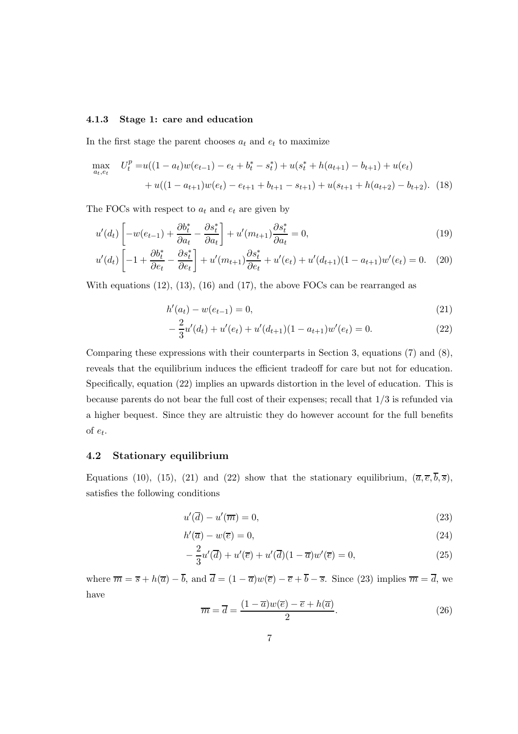#### 4.1.3 Stage 1: care and education

In the first stage the parent chooses  $a_t$  and  $e_t$  to maximize

$$
\max_{a_t, e_t} \quad U_t^p = u((1 - a_t)w(e_{t-1}) - e_t + b_t^* - s_t^*) + u(s_t^* + h(a_{t+1}) - b_{t+1}) + u(e_t) + u((1 - a_{t+1})w(e_t) - e_{t+1} + b_{t+1} - s_{t+1}) + u(s_{t+1} + h(a_{t+2}) - b_{t+2}).
$$
(18)

The FOCs with respect to  $a_t$  and  $e_t$  are given by

$$
u'(d_t)\left[-w(e_{t-1})+\frac{\partial b_t^*}{\partial a_t}-\frac{\partial s_t^*}{\partial a_t}\right]+u'(m_{t+1})\frac{\partial s_t^*}{\partial a_t}=0,\tag{19}
$$

$$
u'(d_t)\left[-1+\frac{\partial b_t^*}{\partial e_t} - \frac{\partial s_t^*}{\partial e_t}\right] + u'(m_{t+1})\frac{\partial s_t^*}{\partial e_t} + u'(e_t) + u'(d_{t+1})(1-a_{t+1})w'(e_t) = 0. \quad (20)
$$

With equations  $(12)$ ,  $(13)$ ,  $(16)$  and  $(17)$ , the above FOCs can be rearranged as

$$
h'(a_t) - w(e_{t-1}) = 0,\t\t(21)
$$

$$
-\frac{2}{3}u'(d_t) + u'(e_t) + u'(d_{t+1})(1 - a_{t+1})w'(e_t) = 0.
$$
\n(22)

Comparing these expressions with their counterparts in Section 3, equations (7) and (8), reveals that the equilibrium induces the efficient tradeoff for care but not for education. Specifically, equation (22) implies an upwards distortion in the level of education. This is because parents do not bear the full cost of their expenses; recall that 1/3 is refunded via a higher bequest. Since they are altruistic they do however account for the full benefits of  $e_t$ .

#### 4.2 Stationary equilibrium

Equations (10), (15), (21) and (22) show that the stationary equilibrium,  $(\bar{a}, \bar{e}, \bar{b}, \bar{s})$ , satisfies the following conditions

$$
u'(\overline{d}) - u'(\overline{m}) = 0,\t\t(23)
$$

$$
h'(\overline{a}) - w(\overline{e}) = 0,\t\t(24)
$$

$$
-\frac{2}{3}u'(\overline{d})+u'(\overline{e})+u'(\overline{d})(1-\overline{a})w'(\overline{e})=0,
$$
\n(25)

where  $\overline{m} = \overline{s} + h(\overline{a}) - \overline{b}$ , and  $\overline{d} = (1 - \overline{a})w(\overline{e}) - \overline{e} + \overline{b} - \overline{s}$ . Since (23) implies  $\overline{m} = \overline{d}$ , we have

$$
\overline{m} = \overline{d} = \frac{(1 - \overline{a})w(\overline{e}) - \overline{e} + h(\overline{a})}{2}.
$$
\n(26)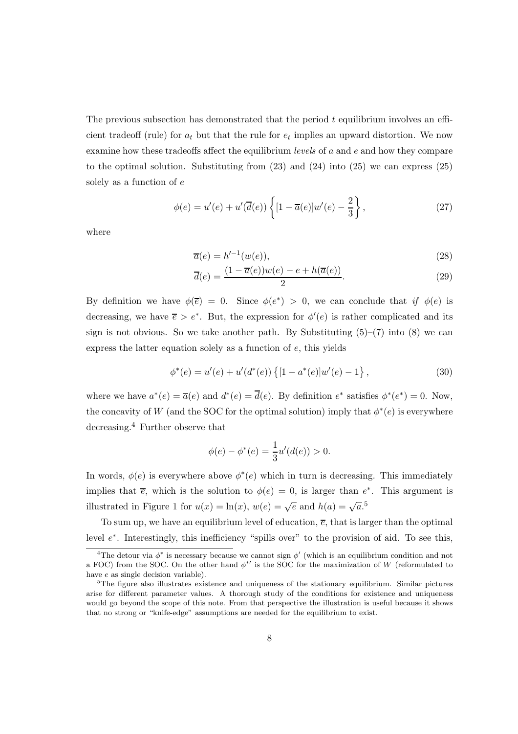The previous subsection has demonstrated that the period  $t$  equilibrium involves an efficient tradeoff (rule) for  $a_t$  but that the rule for  $e_t$  implies an upward distortion. We now examine how these tradeoffs affect the equilibrium *levels* of  $a$  and  $e$  and how they compare to the optimal solution. Substituting from  $(23)$  and  $(24)$  into  $(25)$  we can express  $(25)$ solely as a function of e

$$
\phi(e) = u'(e) + u'(\overline{d}(e)) \left\{ [1 - \overline{a}(e)]w'(e) - \frac{2}{3} \right\},\tag{27}
$$

where

$$
\overline{a}(e) = h'^{-1}(w(e)),\tag{28}
$$

$$
\overline{d}(e) = \frac{(1 - \overline{a}(e))w(e) - e + h(\overline{a}(e))}{2}.
$$
\n(29)

By definition we have  $\phi(\overline{e}) = 0$ . Since  $\phi(e^*) > 0$ , we can conclude that if  $\phi(e)$  is decreasing, we have  $\bar{e} > e^*$ . But, the expression for  $\phi'(e)$  is rather complicated and its sign is not obvious. So we take another path. By Substituting  $(5)-(7)$  into  $(8)$  we can express the latter equation solely as a function of e, this yields

$$
\phi^*(e) = u'(e) + u'(d^*(e)) \{ [1 - a^*(e)]w'(e) - 1 \},
$$
\n(30)

where we have  $a^*(e) = \overline{a}(e)$  and  $d^*(e) = \overline{d}(e)$ . By definition  $e^*$  satisfies  $\phi^*(e^*) = 0$ . Now, the concavity of W (and the SOC for the optimal solution) imply that  $\phi^*(e)$  is everywhere decreasing.<sup>4</sup> Further observe that

$$
\phi(e) - \phi^*(e) = \frac{1}{3}u'(d(e)) > 0.
$$

In words,  $\phi(e)$  is everywhere above  $\phi^*(e)$  which in turn is decreasing. This immediately implies that  $\overline{e}$ , which is the solution to  $\phi(e) = 0$ , is larger than  $e^*$ . This argument is illustrated in Figure 1 for  $u(x) = \ln(x)$ ,  $w(e) = \sqrt{e}$  and  $h(a) = \sqrt{a}$ .<sup>5</sup>

To sum up, we have an equilibrium level of education,  $\overline{e}$ , that is larger than the optimal level  $e^*$ . Interestingly, this inefficiency "spills over" to the provision of aid. To see this,

<sup>&</sup>lt;sup>4</sup>The detour via  $\phi^*$  is necessary because we cannot sign  $\phi'$  (which is an equilibrium condition and not a FOC) from the SOC. On the other hand  $\phi^*{}'$  is the SOC for the maximization of W (reformulated to have e as single decision variable).

<sup>&</sup>lt;sup>5</sup>The figure also illustrates existence and uniqueness of the stationary equilibrium. Similar pictures arise for different parameter values. A thorough study of the conditions for existence and uniqueness would go beyond the scope of this note. From that perspective the illustration is useful because it shows that no strong or "knife-edge" assumptions are needed for the equilibrium to exist.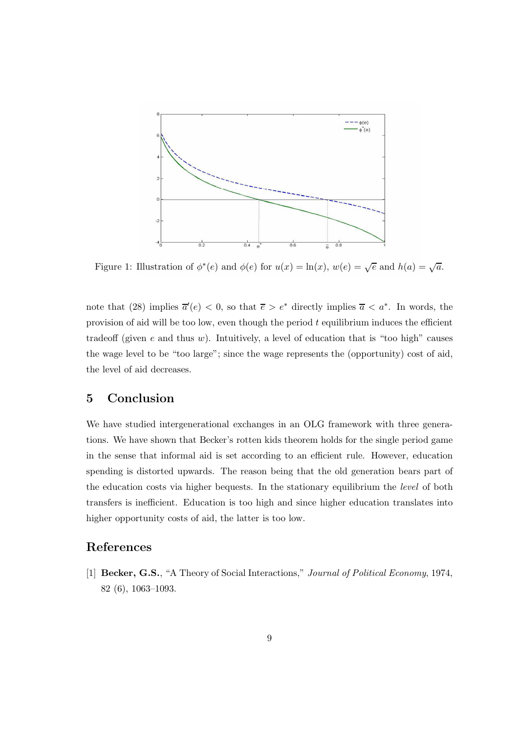

Figure 1: Illustration of  $\phi^*(e)$  and  $\phi(e)$  for  $u(x) = \ln(x), w(e) = \sqrt{e}$  and  $h(a) = \sqrt{a}$ .

note that (28) implies  $\overline{a}'(e) < 0$ , so that  $\overline{e} > e^*$  directly implies  $\overline{a} < a^*$ . In words, the provision of aid will be too low, even though the period  $t$  equilibrium induces the efficient tradeoff (given  $e$  and thus  $w$ ). Intuitively, a level of education that is "too high" causes the wage level to be "too large"; since the wage represents the (opportunity) cost of aid, the level of aid decreases.

### 5 Conclusion

We have studied intergenerational exchanges in an OLG framework with three generations. We have shown that Becker's rotten kids theorem holds for the single period game in the sense that informal aid is set according to an efficient rule. However, education spending is distorted upwards. The reason being that the old generation bears part of the education costs via higher bequests. In the stationary equilibrium the level of both transfers is inefficient. Education is too high and since higher education translates into higher opportunity costs of aid, the latter is too low.

#### References

[1] Becker, G.S., "A Theory of Social Interactions," Journal of Political Economy, 1974, 82 (6), 1063–1093.